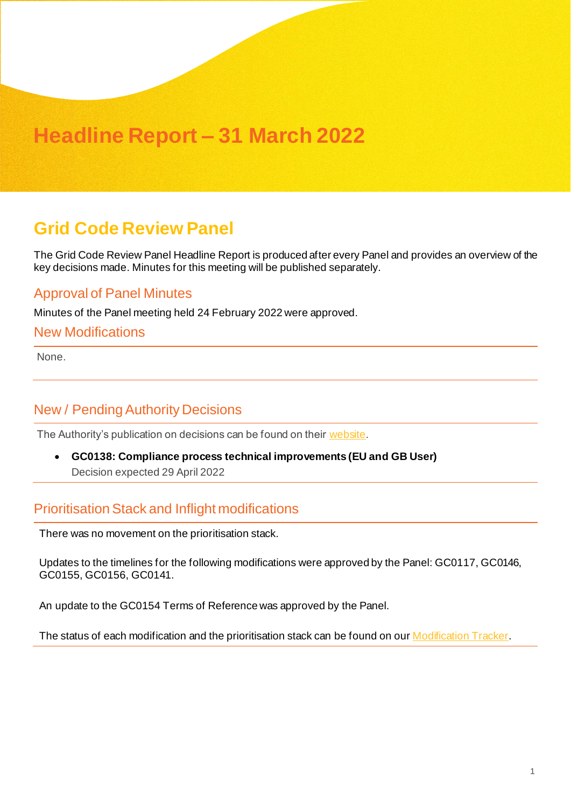## **Headline Report – 31 March 2022**

## **Grid Code Review Panel**

The Grid Code Review Panel Headline Report is produced after every Panel and provides an overview of the key decisions made. Minutes for this meeting will be published separately.

#### Approval of Panel Minutes

Minutes of the Panel meeting held 24 February 2022 were approved.

#### New Modifications

None.

### New / Pending Authority Decisions

The Authority's publication on decisions can be found on thei[r website](https://www.ofgem.gov.uk/publications/code-modificationmodification-proposals-ofgem-decision-expected-publication-dates-timetable).

• **GC0138: Compliance process technical improvements (EU and GB User)** Decision expected 29 April 2022

#### Prioritisation Stack and Inflight modifications

There was no movement on the prioritisation stack.

Updates to the timelines for the following modifications were approved by the Panel: GC0117, GC0146, GC0155, GC0156, GC0141.

An update to the GC0154 Terms of Reference was approved by the Panel.

The status of each modification and the prioritisation stack can be found on our [Modification](https://www.nationalgrideso.com/industry-information/codes) Tracker.